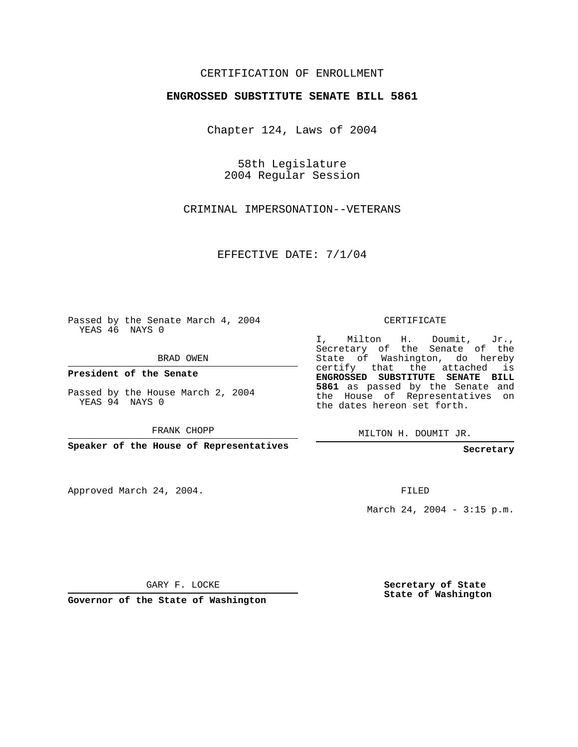## CERTIFICATION OF ENROLLMENT

## **ENGROSSED SUBSTITUTE SENATE BILL 5861**

Chapter 124, Laws of 2004

58th Legislature 2004 Regular Session

CRIMINAL IMPERSONATION--VETERANS

EFFECTIVE DATE: 7/1/04

Passed by the Senate March 4, 2004 YEAS 46 NAYS 0

BRAD OWEN

**President of the Senate**

Passed by the House March 2, 2004 YEAS 94 NAYS 0

FRANK CHOPP

**Speaker of the House of Representatives**

Approved March 24, 2004.

CERTIFICATE

I, Milton H. Doumit, Jr., Secretary of the Senate of the State of Washington, do hereby certify that the attached is **ENGROSSED SUBSTITUTE SENATE BILL 5861** as passed by the Senate and the House of Representatives on the dates hereon set forth.

MILTON H. DOUMIT JR.

**Secretary**

FILED

March 24, 2004 - 3:15 p.m.

GARY F. LOCKE

**Governor of the State of Washington**

**Secretary of State State of Washington**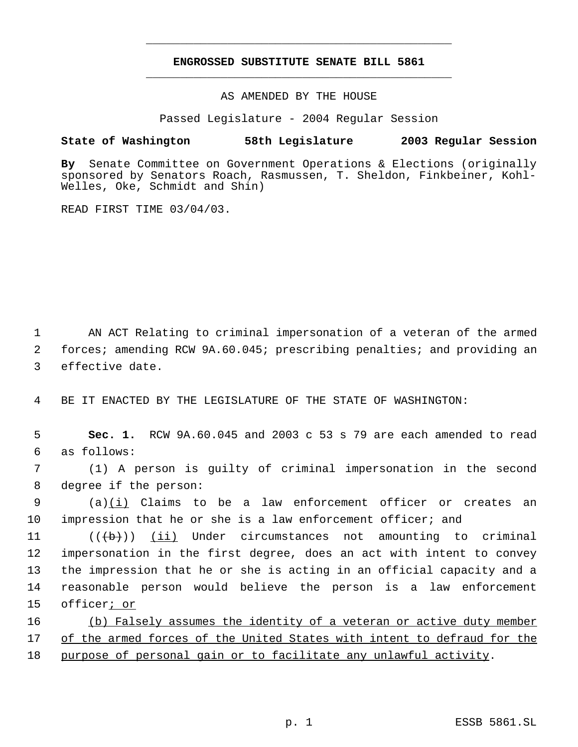## **ENGROSSED SUBSTITUTE SENATE BILL 5861** \_\_\_\_\_\_\_\_\_\_\_\_\_\_\_\_\_\_\_\_\_\_\_\_\_\_\_\_\_\_\_\_\_\_\_\_\_\_\_\_\_\_\_\_\_

\_\_\_\_\_\_\_\_\_\_\_\_\_\_\_\_\_\_\_\_\_\_\_\_\_\_\_\_\_\_\_\_\_\_\_\_\_\_\_\_\_\_\_\_\_

AS AMENDED BY THE HOUSE

Passed Legislature - 2004 Regular Session

## **State of Washington 58th Legislature 2003 Regular Session**

**By** Senate Committee on Government Operations & Elections (originally sponsored by Senators Roach, Rasmussen, T. Sheldon, Finkbeiner, Kohl-Welles, Oke, Schmidt and Shin)

READ FIRST TIME 03/04/03.

 1 AN ACT Relating to criminal impersonation of a veteran of the armed 2 forces; amending RCW 9A.60.045; prescribing penalties; and providing an 3 effective date.

4 BE IT ENACTED BY THE LEGISLATURE OF THE STATE OF WASHINGTON:

 5 **Sec. 1.** RCW 9A.60.045 and 2003 c 53 s 79 are each amended to read 6 as follows:

 7 (1) A person is guilty of criminal impersonation in the second 8 degree if the person:

9 (a)(i) Claims to be a law enforcement officer or creates an 10 impression that he or she is a law enforcement officer; and

 $((\{b\})$  (ii) Under circumstances not amounting to criminal impersonation in the first degree, does an act with intent to convey the impression that he or she is acting in an official capacity and a reasonable person would believe the person is a law enforcement officer; or

16 (b) Falsely assumes the identity of a veteran or active duty member 17 of the armed forces of the United States with intent to defraud for the 18 purpose of personal gain or to facilitate any unlawful activity.

p. 1 ESSB 5861.SL